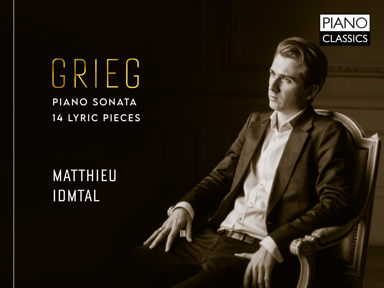

# GRIEG PIANO SONATA 14 LYRIC PIECES

## MATTHIEU IDMTAL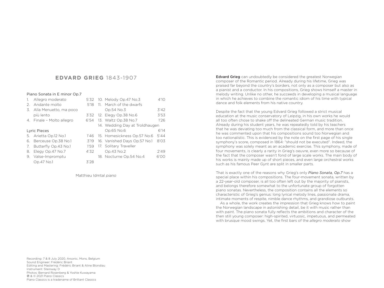#### **EDVARD GRIEG** 1843-1907

#### Piano Sonata in E minor Op.7

|    | Allegro moderato          |      | 5'32 10. Melody Op.47 No.3<br>4'10   |
|----|---------------------------|------|--------------------------------------|
| 2. | Andante molto             | 5'18 | 11. March of the dwarfs              |
| 3. | Alla Menuetto, ma poco    |      | Op.54 No.3<br>3'42                   |
|    | più lento                 | 3'32 | 3'53<br>12. Elegy Op.38 No.6         |
|    | 4. Finale - Molto allegro | 6'54 | 13. Waltz Op.38 No.7<br>1'26         |
|    |                           |      | 14. Wedding Day at Troldhaugen       |
|    | Lyric Pieces              |      | 6'14<br>Op.65 No.6                   |
|    | 5. Arietta Op.12 No.1     | 1'46 | 15. Homesickness Op.57 No.6<br>5'44  |
| 6. | Berceuse Op.38 No.1       | 3'19 | 16. Vanished Days Op.57 No.1<br>8'03 |
| 7. | Butterfly Op.43 No.1      | 1'59 | 17. Solitary Traveller               |
| 8. | Elegy Op.47 No.7          | 4'32 | Op.43 No.2<br>2'49                   |
| 9. | Valse-Impromptu           |      | 18. Nocturne Op.54 No.4<br>6'00      |
|    | Op.47 No.1                | 3'28 |                                      |

Matthieu Idmtal *piano*

Edvard Grieg can undoubtedly be considered the greatest Norwegian composer of the Romantic period. Already during his lifetime, Grieg was praised far beyond the country's borders, not only as a composer but also as a pianist and a conductor. In his compositions, Grieg shows himself a master in melody writing. Unlike no other, he succeeds in developing a musical language in which he achieves to combine the romantic idiom of his time with typical dance and folk elements from his native country.

Despite the fact that the young Edvard Grieg followed a strict musical education at the music conservatory of Leipzig, in his own works he would all too often chose to shake off the delineated German music tradition. Already during his student years, he was repeatedly told by his teachers that he was deviating too much from the classical form, and more than once he was commented upon that his compositions sound too Norwegian and too nationalistic. This is evidenced by the note on the first page of his single symphony's score, composed in 1864: "should not be executed". Indeed, the symphony was solely meant as an academic exercise. This symphony, made of four movements, is clearly a rarity in Grieg's oeuvre, even more so because of the fact that the composer wasn't fond of large scale works. The main body of his works is mainly made up of short pieces, and even large orchestral works such as his famous Peer Gynt are split in smaller parts.

That is exactly one of the reasons why Grieg's only *Piano Sonata, Op.7* has a special place within his compositions. The four-movement sonata, written by a 22-year-old composer, is all too often left out by the majority of pianists, and belongs therefore somewhat to the unfortunate group of forgotten piano sonatas. Nevertheless, the composition contains all the elements so characteristic of Grieg's genius: long lyrical melody lines, passionate drama, intimate moments of respite, nimble dance rhythms, and grandiose outbursts.

As a whole, the work creates the impression that Grieg knows how to paint the Norwegian landscape in astonishing detail, be it with music rather than with paint. The piano sonata fully reflects the ambitions and character of the then still young composer: high-spirited, virtuosic, impetuous, and permeated with brusque mood swings. Yet, the first bars of the *allegro moderato* show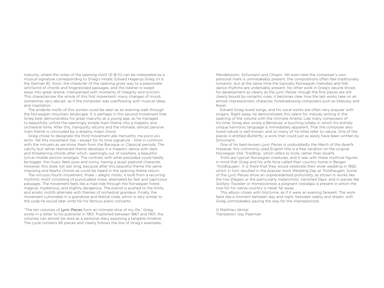maturity, where the notes of the opening motif (E-B-G) can be interpreted as a musical signature corresponding to Grieg's initials: Edvard Hagerup Grieg (H is the German B). Soon, the character of the opening gives way to a passionate whirlwind of chords and fingerpicked passages, and the listener is swept away into great drama, interspersed with moments of integrity and lyricism. This characterizes the whole of this first movement: many changes of mood, sometimes very abrupt, as if the composer was overflowing with musical ideas and inspiration.

The *andante molto* of this sonata could be seen as an evening walk through the Norwegian mountain landscape. It is perhaps in this second movement that Grieg best demonstrates his great maturity at a young age, as he manages to beautifully unfold the seemingly simple main theme into a majestic and orchestral forte. After this, tranquility returns and the intimate, almost pensive main theme is concluded by a dreamy major chord.

Grieg chose to designate the third movement *alla menuetto, ma poco più lento*. Yet this movement has - except for its time signature - little in common with the minuets as we know them from the Baroque or Classical periods. The catchy but rather restrained theme develops in a majestic dance with dark and threatening chords after which, seemingly out of nowhere, a beautiful lyrical middle section emerges. The contrast with what preceded could hardly be bigger: the music feels pure and sunny, having a quasi pastoral character. However, this does not last long, because after this peaceful theme the same imposing and fearful chords as could be heard in the opening theme return.

The virtuoso fourth movement, *finale – allegro molto*, is built from a recurring rhythmic motif consisting of punctuated notes, alternated by fast and capricious passages. The movement feels like a mad ride through the Norwegian forest: magical, mysterious, and slightly dangerous. The pianist is pushed to the limits, and erratic motifs alternate with themes of orchestral grandeur. Finally, the movement culminates in a grandiose and festive coda, which is very similar to the coda he would later write for his famous piano concerto.

"The ten volumes of *Lyric Pieces* form an intimate slice of my life," Grieg wrote in a letter to his publisher in 1901. Published between 1867 and 1901, the volumes can almost be read as a personal diary exposing a tangible timeline. The cycle contains 66 pieces and clearly follows the line of Grieg's examples;

Mendelssohn, Schumann and Chopin. Yet even here the composer's own personal mark is unmistakably present: the compositions often feel traditionally romantic, but at the same time the typically Norwegian melodies and folk dance rhythms are undeniably present. No other work in Grieg's oeuvre shows his development so clearly as the *Lyric Pieces*: though the first pieces are still clearly bound by romantic rules, it becomes clear how the last works take on an almost impressionistic character, foreshadowing composers such as Debussy and Ravel.

Edvard Grieg loved songs, and his vocal works are often very popular with singers. Right away, he demonstrates this talent for melody writing in the opening of the volume with the intimate *Arietta*. Like many composers of his time, Grieg also wrote a *Berceuse*, a touching lullaby in which his entirely unique harmonic language is immediately apparent. That the composer also loved nature is well known, and so many of his titles refer to nature. One of the pieces is entitled *Butterfly*, a work that could just as easily have been written by Schumann.

One of his best-known *Lyric Pieces* is undoubtedly the *March of the dwarfs*. However, this commonly used English title is a free variation on the original Norwegian title 'Troldtog', which refers to trolls, rather than dwarfs.

Trolls are typical Norwegian creatures, and it was with these mythical figures in mind that Grieg and his wife Nina called their country home in Bergen 'Troldhaugen'. It is there that they would celebrate their silver wedding in 1892, which in turn resulted in the popular work *Wedding Day at Troldhaugen*. Some of the *Lyric Pieces* show an unprecedented profundity, as shown in works like the two *Elegies* or the particularly melancholic *Vanished Days*, and in pieces like *Solitary Traveller* or *Homesickness* a poignant nostalgia is present in which the love for his native country is never far away.

This album closes with *Nocturne*, as if it were an evening farewell. The work feels like a moment between day and night, between reality and dream, with Grieg unmistakably paving the way for the impressionists.

© Matthieu Idmtal Translation: Issy Pearman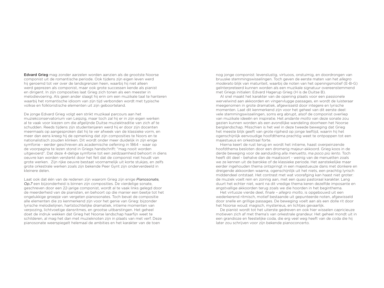Edvard Grieg mag zonder aarzelen worden aanzien als de grootste Noorse componist uit de romantische periode. Ook tijdens zijn eigen leven werd hij geroemd tot ver over de landsgrenzen heen, waarbij hij niet alleen werd geprezen als componist, maar ook grote successen kende als pianist en dirigent. In zijn composities laat Grieg zich tonen als een meester in melodievoering. Als geen ander slaagt hij erin om een muzikale taal te hanteren waarbij het romantische idioom van zijn tijd verbonden wordt met typische volkse en folkloristische elementen uit zijn geboorteland.

De jonge Edvard Grieg volgt een strikt muzikaal parcours aan het muziekconservatorium van Leipzig, maar toch zal hij er in zijn eigen werken al te vaak voor kiezen om die afgelijnde Duitse muziektraditie van zich af te schudden. Reeds tijdens zijn studentenjaren werd hij er door zijn docenten meermaals op aangesproken dat hij te ver afweek van de klassieke vorm, en meer dan eens kreeg hij de opmerking dat zijn composities te Noors en te nationalistisch zouden klinken. Dit wordt onder meer duidelijk in zijn enige symfonie - eerder geschreven als academische oefening in 1864 - waar op de voorpagina te lezen stond in Griegs handschrift: "mag nooit worden uitgevoerd". Dat deze 4-delige symfonie tot een zeldzaamheid behoort in diens oeuvre kan worden versterkt door het feit dat de componist niet houdt van grote werken. Zijn rijke oeuvre bestaat voornamelijk uit korte stukjes, en zelfs grote orkestrale werken zoals zijn bekende Peer Gynt zijn onderverdeeld in kleinere delen.

Laat ook dat één van de redenen zijn waarom Grieg zijn enige *Pianosonate, Op.7* een bijzonderheid is binnen zijn composities. De vierdelige sonate, geschreven door een 22-jarige componist, wordt al te vaak links gelegd door de meerderheid van de pianisten, en behoort op die manier een beetje tot het ongelukkige groepje van vergeten pianosonates. Toch bevat de compositie alle elementen die zo kenmerkend zijn voor het genie van Grieg: bijzonder lyrische melodielijnen, hartstochtelijke dramatiek, intieme momenten van verpozing, lichtvoetige dansritmes, en grootse uitbarstingen. Het geheel doet de indruk wekken dat Grieg het Noorse landschap haarfijn weet te schilderen, al mag het dan met muzieknoten zijn in plaats van met verf. Deze pianosonate weerspiegelt helemaal de ambities en het karakter van de toen

nog jonge componist: levenslustig, virtuoos, onstuimig, en doordrongen van bruuske stemmingswisselingen. Toch geven de eerste maten van het *allegro moderato* blijk van maturiteit, waarbij de noten van het openingsmotief (E-B-G) geïnterpreteerd kunnen worden als een muzikale signatuur overeenstemmend met Griegs initialen: Edvard Hagerup Grieg (H is de Duitse B).

Al snel maakt het karakter van de opening plaats voor een passionele wervelwind aan akkoorden en vingervlugge passages, en wordt de luisteraar meegenomen in grote dramatiek, afgewisseld door integere en lyrische momenten. Laat dit kenmerkend zijn voor het geheel van dit eerste deel: vele stemmingswisselingen, soms erg abrupt, alsof de componist overliep van muzikale ideeën en inspiratie. Het *andante molto* van deze sonate zou gezien kunnen worden als een avondlijke wandeling doorheen het Noorse berglandschap. Misschien is het wel in deze tweede beweging dat Grieg het meeste blijk geeft van grote rijpheid op jonge leeftijd, waarin hij het ogenschijnlijk eenvoudige hoofdthema prachtig weet te ontpoppen tot een majestueus en orkestraal forte.

Hierna keert de rust terug en wordt het intieme, haast overpeinzende hoofdthema besloten door een dromerig majeur-akkoord. Grieg koos in de derde beweging voor de aanduiding *alla menuetto*, *ma poco più lento*. Toch heeft dit deel - behalve dan de maatsoort - weinig van de menuetten zoals we ze kennen uit de barokke of de klassieke periode. Het aanstekelijke maar eerder ingehouden thema ontspringt in een majestueuze dans met donkere en dreigende akkoorden waarna, ogenschijnlijk uit het niets, een prachtig lyrisch middendeel ontstaat. Het contrast met wat voorafging kan haast niet groter: de muziek voelt rein en zonnig aan, met een quasi pastoraal karakter. Lang duurt het echter niet, want na dit vredige thema keren dezelfde imposante en angstvallige akkoorden terug zoals we die hoorden in het beginthema.

Het virtuoze vierde deel, *finale – allegro molto*, is opgebouwd uit een wederkerend ritmisch, motief bestaande uit gepunteerde noten, afgewisseld door snelle en grillige passages. De beweging voelt aan als een dolle rit door het Noorse woud: magisch, mysterieus, en lichties gevaarlijk.

De pianist wordt tot het uiterste gedreven en ook hier wisselen capricieuze motieven zich af met thema's van orkestrale grandeur. Het geheel mondt uit in een grandioze en feestelijke coda, die erg veel weg heeft van de coda die hij later zou schrijven voor zijn bekende pianoconcerto.